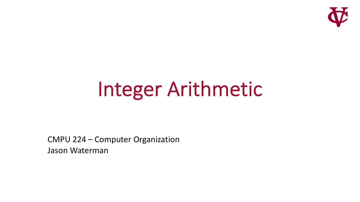

# Integer Arithmetic

CMPU 224 – Computer Organization Jason Waterman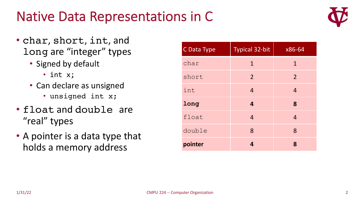### Native Data Representations in C



- char, short, int, and long are "integer" types
	- Signed by default
		- int x;
	- Can declare as unsigned
		- unsigned int x;
- float and double are "real" types
- A pointer is a data type that holds a memory address

| C Data Type | <b>Typical 32-bit</b> | x86-64         |
|-------------|-----------------------|----------------|
| char        | $\mathbf 1$           | $\mathbf 1$    |
| short       | $\overline{2}$        | $\overline{2}$ |
| int         | $\overline{4}$        | $\overline{4}$ |
| long        | 4                     | 8              |
| float       | $\overline{4}$        | $\overline{4}$ |
| double      | 8                     | 8              |
| pointer     | 4                     | 8              |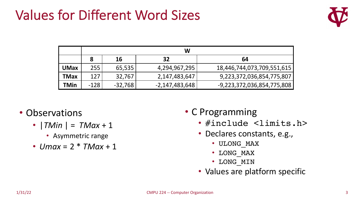### Values for Different Word Sizes



|             | W      |           |                  |                              |  |  |  |  |
|-------------|--------|-----------|------------------|------------------------------|--|--|--|--|
|             | 8      | 16        | 32               | 64                           |  |  |  |  |
| <b>UMax</b> | 255    | 65,535    | 4,294,967,295    | 18,446,744,073,709,551,615   |  |  |  |  |
| <b>TMax</b> | 127    | 32,767    | 2,147,483,647    | 9,223,372,036,854,775,807    |  |  |  |  |
| <b>TMin</b> | $-128$ | $-32,768$ | $-2,147,483,648$ | $-9,223,372,036,854,775,808$ |  |  |  |  |

### • Observations

- |*TMin* | = *TMax* + 1
	- Asymmetric range
- *Umax* = 2 \* *TMax* + 1

### • C Programming

- #include <limits.h>
- Declares constants, e.g.,
	- ULONG\_MAX
	- LONG\_MAX
	- LONG\_MIN
- Values are platform specific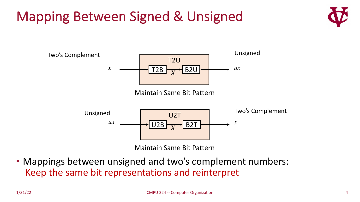## Mapping Between Signed & Unsigned





Maintain Same Bit Pattern

• Mappings between unsigned and two's complement numbers: Keep the same bit representations and reinterpret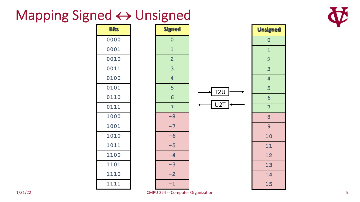### Mapping Signed  $\leftrightarrow$  Unsigned



| <b>Bits</b> | <b>Signed</b>  |
|-------------|----------------|
| 0000        | $\mathbf 0$    |
| 0001        | $\mathbf{1}$   |
| 0010        | $\overline{2}$ |
| 0011        | 3              |
| 0100        | 4              |
| 0101        | 5              |
| 0110        | 6              |
| 0111        | $\overline{7}$ |
| 1000        | $-8$           |
| 1001        | $-7$           |
| 1010        | $-6$           |
| 1011        | $-5$           |
| 1100        | $-4$           |
| 1101        | $-3$           |
| 1110        | $-2$           |
| 1111        | $-1$           |





1/31/22 CMPU 224 -- Computer Organization 5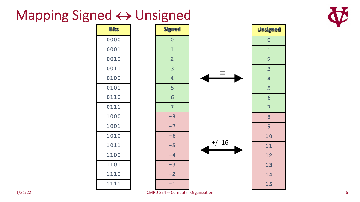### Mapping Signed  $\leftrightarrow$  Unsigned



| <b>Bits</b> |  | <b>Signed</b>           |  |  |  |  |
|-------------|--|-------------------------|--|--|--|--|
| 0000        |  | $\mathbf 0$             |  |  |  |  |
| 0001        |  | $\mathbf{1}$            |  |  |  |  |
| 0010        |  | $\overline{2}$          |  |  |  |  |
| 0011        |  | 3                       |  |  |  |  |
| 0100        |  | $\overline{\mathbf{4}}$ |  |  |  |  |
| 0101        |  | 5                       |  |  |  |  |
| 0110        |  | 6                       |  |  |  |  |
| 0111        |  | $\overline{7}$          |  |  |  |  |
| 1000        |  | $-8$                    |  |  |  |  |
| 1001        |  | $-7$                    |  |  |  |  |
| 1010        |  | $-6$                    |  |  |  |  |
| 1011        |  | $-5$                    |  |  |  |  |
| 1100        |  | $-4$                    |  |  |  |  |
| 1101        |  | $-3$                    |  |  |  |  |
| 1110        |  | $-2$                    |  |  |  |  |
| 1111        |  | $-1$                    |  |  |  |  |

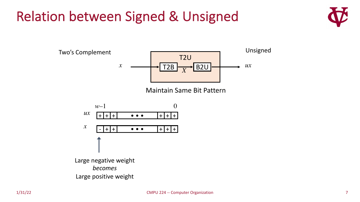### Relation between Signed & Unsigned



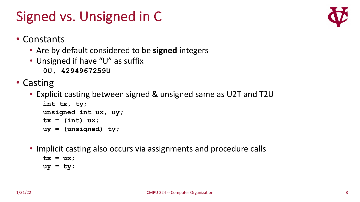### Signed vs. Unsigned in C



- Constants
	- Are by default considered to be **signed** integers
	- Unsigned if have "U" as suffix
		- **0U, 4294967259U**
- Casting
	- Explicit casting between signed & unsigned same as U2T and T2U

```
int tx, ty;
unsigned int ux, uy;
tx = (int) ux;uy = (unsigned) ty;
```
• Implicit casting also occurs via assignments and procedure calls  $tx = ux;$  $uy = ty;$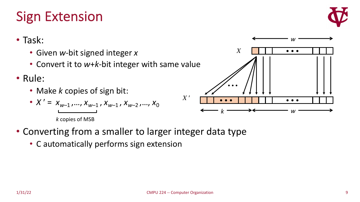Sign Extension



- Given *w*-bit signed integer *x*
- Convert it to *w*+*k*-bit integer with same value
- Rule:
	- Make *k* copies of sign bit:

• 
$$
X' = x_{w-1},..., x_{w-1}, x_{w-1}, x_{w-2},..., x_0
$$

*k* copies of MSB

- Converting from a smaller to larger integer data type
	- C automatically performs sign extension



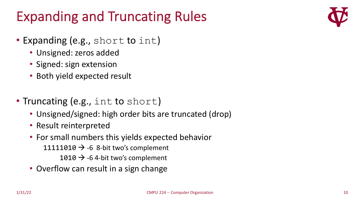## Expanding and Truncating Rules

- Expanding (e.g., short to int)
	- Unsigned: zeros added
	- Signed: sign extension
	- Both yield expected result
- Truncating (e.g., int to short)
	- Unsigned/signed: high order bits are truncated (drop)
	- Result reinterpreted
	- For small numbers this yields expected behavior 11111010  $\rightarrow$  -6 8-bit two's complement
		- 1010  $\rightarrow$  -6 4-bit two's complement
	- Overflow can result in a sign change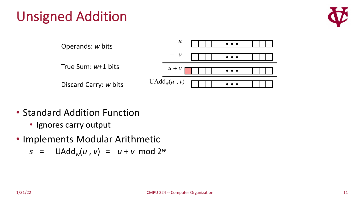### Unsigned Addition





- Standard Addition Function
	- Ignores carry output
- Implements Modular Arithmetic
	- $s = \text{UAdd}_{w}(u, v) = u + v \text{ mod } 2^w$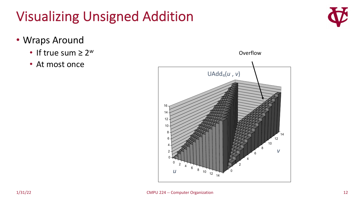## Visualizing Unsigned Addition

- Wraps Around
	- If true sum ≥ 2*<sup>w</sup>*
	- At most once



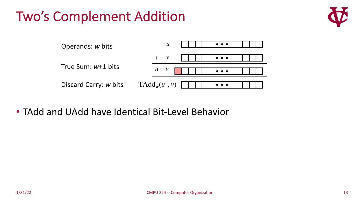### Two's Complement Addition





• TAdd and UAdd have Identical Bit-Level Behavior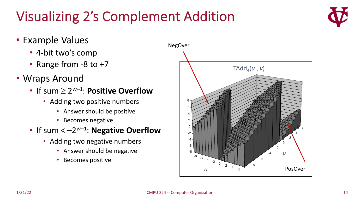# 1/31/22 CMPU 224 -- Computer Organization 14

### Visualizing 2's Complement Addition

- Example Values
	- 4-bit two's comp
	- Range from -8 to +7
- Wraps Around
	- If sum  $\geq 2^{w-1}$ : **Positive Overflow** 
		- Adding two positive numbers
			- Answer should be positive
			- Becomes negative
	- If sum < –2*<sup>w</sup>*–1: **Negative Overflow**
		- Adding two negative numbers
			- Answer should be negative
			- Becomes positive



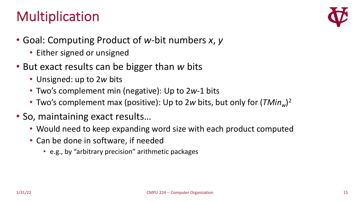### Multiplication



- Goal: Computing Product of *w*-bit numbers *x*, *y*
	- Either signed or unsigned
- But exact results can be bigger than *w* bits
	- Unsigned: up to 2*w* bits
	- Two's complement min (negative): Up to 2*w*-1 bits
	- Two's complement max (positive): Up to 2*w* bits, but only for  $(TMin_w)^2$
- So, maintaining exact results…
	- Would need to keep expanding word size with each product computed
	- Can be done in software, if needed
		- e.g., by "arbitrary precision" arithmetic packages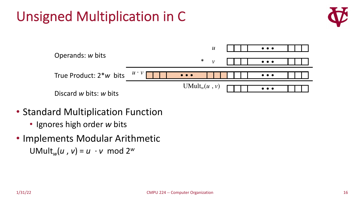### Unsigned Multiplication in C



|                        |                                        |                             | $\boldsymbol{\mathcal{U}}$ |  | $\bullet\bullet\bullet$                                                  |  |
|------------------------|----------------------------------------|-----------------------------|----------------------------|--|--------------------------------------------------------------------------|--|
| Operands: w bits       |                                        | * $\nu$                     |                            |  | $\bullet\bullet\bullet$                                                  |  |
| True Product: 2*w bits | $u \cdot v$<br>$\bullet\bullet\bullet$ |                             |                            |  | $\bullet\bullet\bullet$                                                  |  |
| Discard w bits: w bits |                                        | UMult <sub>w</sub> $(u, v)$ |                            |  | $\bullet\hspace{0.4mm}\bullet\hspace{0.4mm}\bullet\hspace{0.4mm}\bullet$ |  |

- Standard Multiplication Function
	- Ignores high order *w* bits
- Implements Modular Arithmetic UMult<sub>w</sub> $(u, v) = u \cdot v \mod 2^w$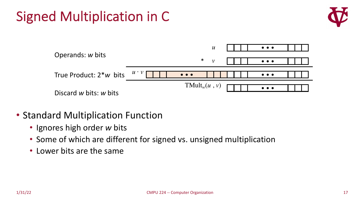### Signed Multiplication in C



|                        |             |                               |         | $\boldsymbol{\mathcal{U}}$ |  |  |  | $\bullet\bullet\bullet$                                                  |  |  |
|------------------------|-------------|-------------------------------|---------|----------------------------|--|--|--|--------------------------------------------------------------------------|--|--|
| Operands: w bits       |             |                               | * $\nu$ |                            |  |  |  | $\bullet\bullet\bullet$                                                  |  |  |
| True Product: 2*w bits | $u \cdot v$ | $\bullet$ $\bullet$ $\bullet$ |         |                            |  |  |  |                                                                          |  |  |
| Discard w bits: w bits |             | TMult <sub>w</sub> $(u, v)$   |         |                            |  |  |  | $\bullet\hspace{0.4mm}\bullet\hspace{0.4mm}\bullet\hspace{0.4mm}\bullet$ |  |  |

#### • Standard Multiplication Function

- Ignores high order *w* bits
- Some of which are different for signed vs. unsigned multiplication
- Lower bits are the same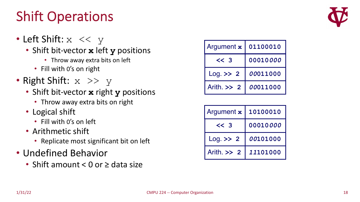1/31/22 CMPU 224 -- Computer Organization 18

# Shift Operations

- Left Shift:  $x \leq y$ 
	- Shift bit-vector **x** left **y** positions
		- Throw away extra bits on left
		- Fill with 0's on right
- Right Shift:  $x \gg y$ 
	- Shift bit-vector **x** right **y** positions
		- Throw away extra bits on right
	- Logical shift
		- Fill with 0's on left
	- Arithmetic shift
		- Replicate most significant bit on left
- Undefined Behavior
	- Shift amount < 0 or ≥ data size

| Argument x    | 01100010 |  |  |  |
|---------------|----------|--|--|--|
| $<<$ 3        | 00010000 |  |  |  |
| $Log.$ >> 2   | 00011000 |  |  |  |
| Arith $\gg$ 2 | 00011000 |  |  |  |

| Argument x    | 10100010 |
|---------------|----------|
| $<<$ 3        | 00010000 |
| $Log.$ >> 2   | 00101000 |
| Arith $\gg$ 2 | 11101000 |

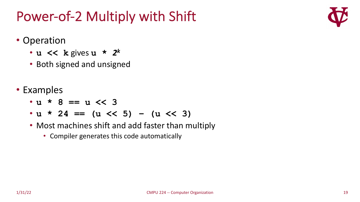### Power-of-2 Multiply with Shift



- Operation
	- **u << k** gives **u \*** *2k*
	- Both signed and unsigned
- Examples
	- **u \* 8 == u << 3**
	- **u \* 24 == (u << 5) – (u << 3)**
	- Most machines shift and add faster than multiply
		- Compiler generates this code automatically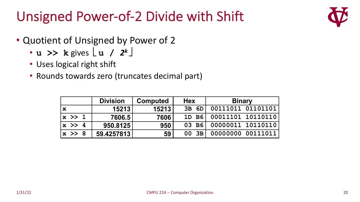### Unsigned Power-of-2 Divide with Shift



- Quotient of Unsigned by Power of 2
	- $\cdot$  **u**  $\rightarrow$  **k** gives  $\lfloor u \rfloor$  /  $2^{k}$
	- Uses logical right shift
	- Rounds towards zero (truncates decimal part)

|                | <b>Division</b> | <b>Computed</b> | <b>Hex</b>      | <b>Binary</b>     |
|----------------|-----------------|-----------------|-----------------|-------------------|
| x              | 15213           | 15213           | 3B<br>6D        | 00111011 01101101 |
| $ x \rangle$ 1 | 7606.5          | 7606            | <b>B6</b><br>1D | 00011101 10110110 |
| $ x \rangle$ 4 | 950.8125        | 950             | 03 B61          | 00000011 10110110 |
| $ x \rangle$ 8 | 59.4257813      | 59              | 3B<br>00        | 00000000 00111011 |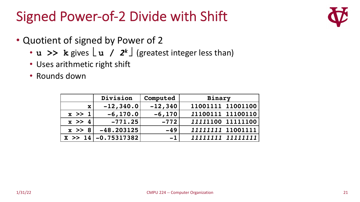### Signed Power-of-2 Divide with Shift

- 
- Quotient of signed by Power of 2
	- **u** >> **k** gives  $\lfloor u \rfloor / 2^k \rfloor$  (greatest integer less than)
	- Uses arithmetic right shift
	- Rounds down

|             | Division               | Computed  | <b>Binary</b>     |
|-------------|------------------------|-----------|-------------------|
| $\mathbf x$ | $-12, 340.0$           | $-12,340$ | 11001111 11001100 |
| $x \gg 1$   | $-6, 170.0$            | $-6,170$  | 11100111 11100110 |
| $x \gg 4$   | $-771.25$              | $-772$    | 11111100 11111100 |
| $x \gg 8$   | $-48.203125$           | $-49$     | 11111111 11001111 |
|             | $X \gg 14$ -0.75317382 | $-1$      | 11111111 11111111 |